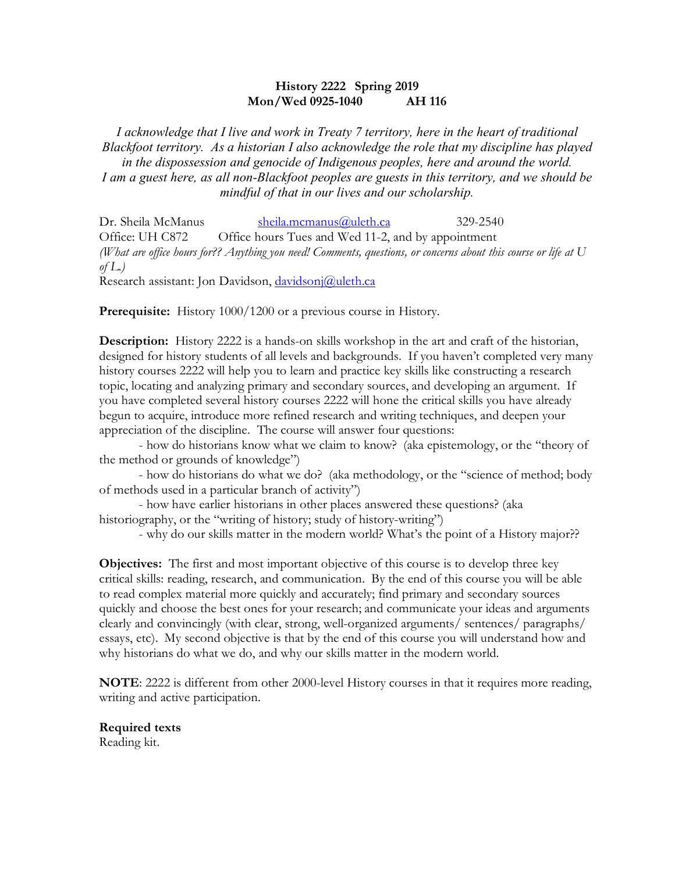# **History 2222 Spring 2019 Mon/Wed 0925-1040 AH 116**

*I acknowledge that I live and work in Treaty 7 territory, here in the heart of traditional Blackfoot territory. As a historian I also acknowledge the role that my discipline has played in the dispossession and genocide of Indigenous peoples, here and around the world. I am a guest here, as all non-Blackfoot peoples are guests in this territory, and we should be mindful of that in our lives and our scholarship.*

Dr. Sheila McManus sheila.mcmanus@uleth.ca 329-2540 Office: UH C872 Office hours Tues and Wed 11-2, and by appointment *(What are office hours for?? Anything you need! Comments, questions, or concerns about this course or life at U of L.)*

Research assistant: Jon Davidson, davidsonj@uleth.ca

**Prerequisite:** History 1000/1200 or a previous course in History.

**Description:** History 2222 is a hands-on skills workshop in the art and craft of the historian, designed for history students of all levels and backgrounds. If you haven't completed very many history courses 2222 will help you to learn and practice key skills like constructing a research topic, locating and analyzing primary and secondary sources, and developing an argument. If you have completed several history courses 2222 will hone the critical skills you have already begun to acquire, introduce more refined research and writing techniques, and deepen your appreciation of the discipline. The course will answer four questions:

- how do historians know what we claim to know? (aka epistemology, or the "theory of the method or grounds of knowledge")

- how do historians do what we do? (aka methodology, or the "science of method; body of methods used in a particular branch of activity")

- how have earlier historians in other places answered these questions? (aka historiography, or the "writing of history; study of history-writing")

- why do our skills matter in the modern world? What's the point of a History major??

**Objectives:** The first and most important objective of this course is to develop three key critical skills: reading, research, and communication. By the end of this course you will be able to read complex material more quickly and accurately; find primary and secondary sources quickly and choose the best ones for your research; and communicate your ideas and arguments clearly and convincingly (with clear, strong, well-organized arguments/ sentences/ paragraphs/ essays, etc). My second objective is that by the end of this course you will understand how and why historians do what we do, and why our skills matter in the modern world.

**NOTE**: 2222 is different from other 2000-level History courses in that it requires more reading, writing and active participation.

**Required texts** Reading kit.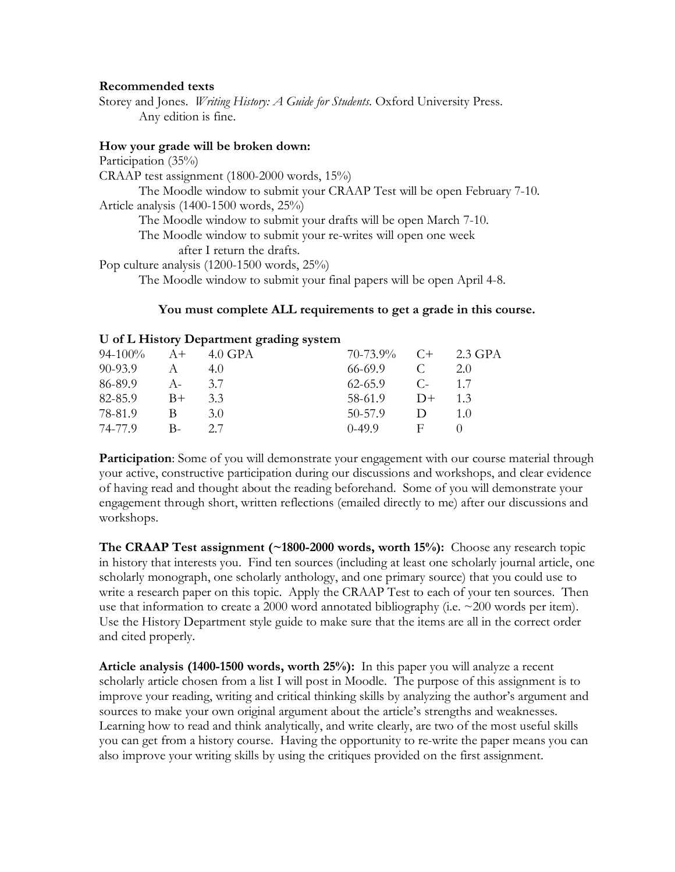## **Recommended texts**

Storey and Jones. *Writing History: A Guide for Students*. Oxford University Press. Any edition is fine.

#### **How your grade will be broken down:**

Participation (35%)

CRAAP test assignment (1800-2000 words, 15%)

The Moodle window to submit your CRAAP Test will be open February 7-10. Article analysis (1400-1500 words, 25%)

The Moodle window to submit your drafts will be open March 7-10.

The Moodle window to submit your re-writes will open one week

after I return the drafts.

Pop culture analysis (1200-1500 words, 25%)

The Moodle window to submit your final papers will be open April 4-8.

# **You must complete ALL requirements to get a grade in this course.**

#### **U of L History Department grading system**

| $94-100\%$ A+ 4.0 GPA |              |     | $70-73.9\%$ C+ 2.3 GPA |        |      |
|-----------------------|--------------|-----|------------------------|--------|------|
| 90-93.9               | $\mathsf{A}$ | 4.0 | 66-69.9                | C      | 2.0  |
| 86-89.9               | $A -$        | 3.7 | 62-65.9                | $C-$   | 1.7  |
| $82-85.9$ B+          |              | 3.3 | 58-61.9                | $D+$   | 13   |
| 78-81.9               | B            | 3.0 | 50-57.9                | $\Box$ | 1 () |
| 74-77.9               | $B-$         | 27  | $0-49.9$               | - F -  |      |

**Participation**: Some of you will demonstrate your engagement with our course material through your active, constructive participation during our discussions and workshops, and clear evidence of having read and thought about the reading beforehand. Some of you will demonstrate your engagement through short, written reflections (emailed directly to me) after our discussions and workshops.

**The CRAAP Test assignment (~1800-2000 words, worth 15%):** Choose any research topic in history that interests you. Find ten sources (including at least one scholarly journal article, one scholarly monograph, one scholarly anthology, and one primary source) that you could use to write a research paper on this topic. Apply the CRAAP Test to each of your ten sources. Then use that information to create a 2000 word annotated bibliography (i.e.  $\approx$  200 words per item). Use the History Department style guide to make sure that the items are all in the correct order and cited properly.

**Article analysis (1400-1500 words, worth 25%):** In this paper you will analyze a recent scholarly article chosen from a list I will post in Moodle. The purpose of this assignment is to improve your reading, writing and critical thinking skills by analyzing the author's argument and sources to make your own original argument about the article's strengths and weaknesses. Learning how to read and think analytically, and write clearly, are two of the most useful skills you can get from a history course. Having the opportunity to re-write the paper means you can also improve your writing skills by using the critiques provided on the first assignment.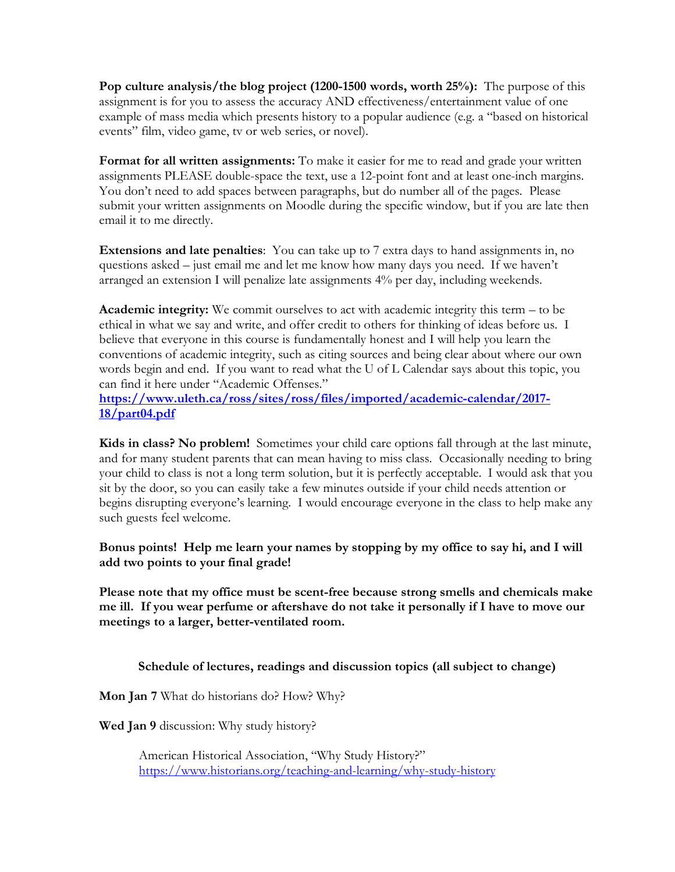**Pop culture analysis/the blog project (1200-1500 words, worth 25%):** The purpose of this assignment is for you to assess the accuracy AND effectiveness/entertainment value of one example of mass media which presents history to a popular audience (e.g. a "based on historical events" film, video game, tv or web series, or novel).

**Format for all written assignments:** To make it easier for me to read and grade your written assignments PLEASE double-space the text, use a 12-point font and at least one-inch margins. You don't need to add spaces between paragraphs, but do number all of the pages. Please submit your written assignments on Moodle during the specific window, but if you are late then email it to me directly.

**Extensions and late penalties**: You can take up to 7 extra days to hand assignments in, no questions asked – just email me and let me know how many days you need. If we haven't arranged an extension I will penalize late assignments 4% per day, including weekends.

**Academic integrity:** We commit ourselves to act with academic integrity this term – to be ethical in what we say and write, and offer credit to others for thinking of ideas before us. I believe that everyone in this course is fundamentally honest and I will help you learn the conventions of academic integrity, such as citing sources and being clear about where our own words begin and end. If you want to read what the U of L Calendar says about this topic, you can find it here under "Academic Offenses."

**https://www.uleth.ca/ross/sites/ross/files/imported/academic-calendar/2017- 18/part04.pdf**

**Kids in class? No problem!** Sometimes your child care options fall through at the last minute, and for many student parents that can mean having to miss class. Occasionally needing to bring your child to class is not a long term solution, but it is perfectly acceptable. I would ask that you sit by the door, so you can easily take a few minutes outside if your child needs attention or begins disrupting everyone's learning. I would encourage everyone in the class to help make any such guests feel welcome.

**Bonus points! Help me learn your names by stopping by my office to say hi, and I will add two points to your final grade!**

**Please note that my office must be scent-free because strong smells and chemicals make me ill. If you wear perfume or aftershave do not take it personally if I have to move our meetings to a larger, better-ventilated room.**

**Schedule of lectures, readings and discussion topics (all subject to change)**

**Mon Jan 7** What do historians do? How? Why?

**Wed Jan 9** discussion: Why study history?

American Historical Association, "Why Study History?" https://www.historians.org/teaching-and-learning/why-study-history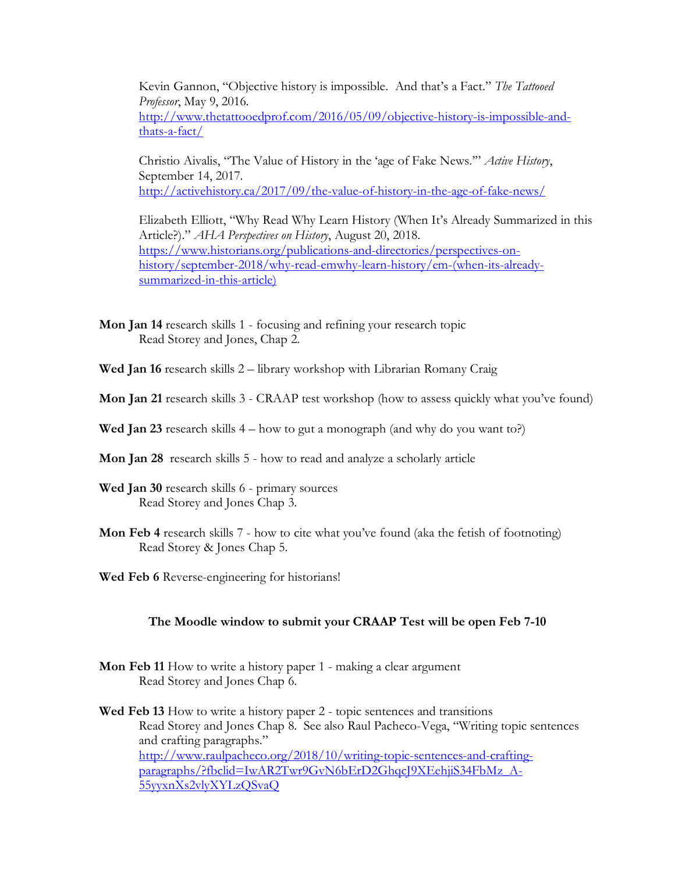Kevin Gannon, "Objective history is impossible. And that's a Fact." *The Tattooed Professor*, May 9, 2016. http://www.thetattooedprof.com/2016/05/09/objective-history-is-impossible-andthats-a-fact/

Christio Aivalis, "The Value of History in the 'age of Fake News.'" *Active History*, September 14, 2017. http://activehistory.ca/2017/09/the-value-of-history-in-the-age-of-fake-news/

Elizabeth Elliott, "Why Read Why Learn History (When It's Already Summarized in this Article?)." *AHA Perspectives on History*, August 20, 2018. https://www.historians.org/publications-and-directories/perspectives-onhistory/september-2018/why-read-emwhy-learn-history/em-(when-its-alreadysummarized-in-this-article)

- **Mon Jan 14** research skills 1 focusing and refining your research topic Read Storey and Jones, Chap 2.
- **Wed Jan 16** research skills 2 library workshop with Librarian Romany Craig
- **Mon Jan 21** research skills 3 CRAAP test workshop (how to assess quickly what you've found)
- **Wed Jan 23** research skills 4 how to gut a monograph (and why do you want to?)
- **Mon Jan 28** research skills 5 how to read and analyze a scholarly article
- **Wed Jan 30** research skills 6 primary sources Read Storey and Jones Chap 3.
- **Mon Feb 4** research skills 7 how to cite what you've found (aka the fetish of footnoting) Read Storey & Jones Chap 5.
- **Wed Feb 6** Reverse-engineering for historians!

## **The Moodle window to submit your CRAAP Test will be open Feb 7-10**

- **Mon Feb 11** How to write a history paper 1 making a clear argument Read Storey and Jones Chap 6.
- **Wed Feb 13** How to write a history paper 2 topic sentences and transitions Read Storey and Jones Chap 8. See also Raul Pacheco-Vega, "Writing topic sentences and crafting paragraphs." http://www.raulpacheco.org/2018/10/writing-topic-sentences-and-craftingparagraphs/?fbclid=IwAR2Twr9GvN6bErD2GhqcJ9XEehjiS34FbMz\_A-55yyxnXs2vlyXYLzQSvaQ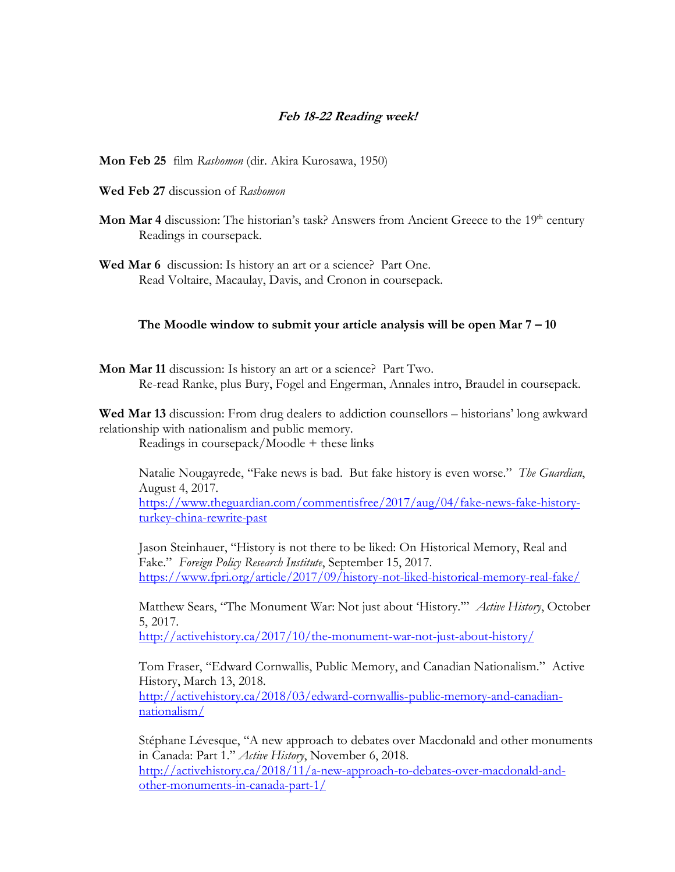## **Feb 18-22 Reading week!**

**Mon Feb 25** film *Rashomon* (dir. Akira Kurosawa, 1950)

- **Wed Feb 27** discussion of *Rashomon*
- **Mon Mar 4** discussion: The historian's task? Answers from Ancient Greece to the 19<sup>th</sup> century Readings in coursepack.
- **Wed Mar 6** discussion: Is history an art or a science? Part One. Read Voltaire, Macaulay, Davis, and Cronon in coursepack.

#### **The Moodle window to submit your article analysis will be open Mar 7 – 10**

**Mon Mar 11** discussion: Is history an art or a science? Part Two. Re-read Ranke, plus Bury, Fogel and Engerman, Annales intro, Braudel in coursepack.

**Wed Mar 13** discussion: From drug dealers to addiction counsellors – historians' long awkward relationship with nationalism and public memory.

Readings in coursepack/Moodle + these links

Natalie Nougayrede, "Fake news is bad. But fake history is even worse." *The Guardian*, August 4, 2017.

https://www.theguardian.com/commentisfree/2017/aug/04/fake-news-fake-historyturkey-china-rewrite-past

Jason Steinhauer, "History is not there to be liked: On Historical Memory, Real and Fake." *Foreign Policy Research Institute*, September 15, 2017. https://www.fpri.org/article/2017/09/history-not-liked-historical-memory-real-fake/

Matthew Sears, "The Monument War: Not just about 'History.'" *Active History*, October 5, 2017.

http://activehistory.ca/2017/10/the-monument-war-not-just-about-history/

Tom Fraser, "Edward Cornwallis, Public Memory, and Canadian Nationalism." Active History, March 13, 2018. http://activehistory.ca/2018/03/edward-cornwallis-public-memory-and-canadian-

nationalism/

Stéphane Lévesque, "A new approach to debates over Macdonald and other monuments in Canada: Part 1." *Active History*, November 6, 2018. http://activehistory.ca/2018/11/a-new-approach-to-debates-over-macdonald-andother-monuments-in-canada-part-1/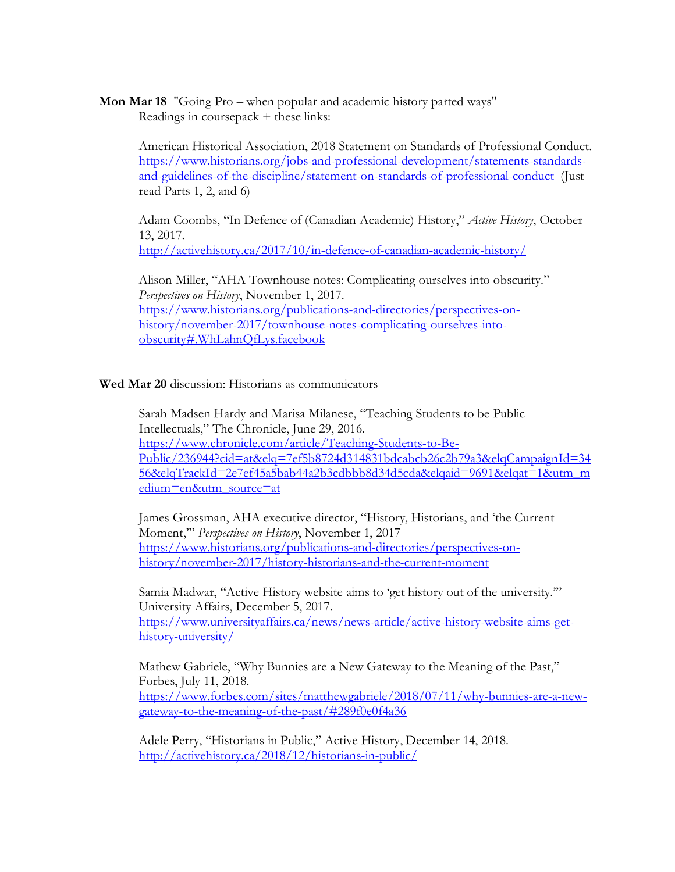**Mon Mar 18** "Going Pro – when popular and academic history parted ways" Readings in coursepack + these links:

American Historical Association, 2018 Statement on Standards of Professional Conduct. https://www.historians.org/jobs-and-professional-development/statements-standardsand-guidelines-of-the-discipline/statement-on-standards-of-professional-conduct (Just read Parts 1, 2, and 6)

Adam Coombs, "In Defence of (Canadian Academic) History," *Active History*, October 13, 2017.

http://activehistory.ca/2017/10/in-defence-of-canadian-academic-history/

Alison Miller, "AHA Townhouse notes: Complicating ourselves into obscurity." *Perspectives on History*, November 1, 2017. https://www.historians.org/publications-and-directories/perspectives-onhistory/november-2017/townhouse-notes-complicating-ourselves-intoobscurity#.WhLahnQfLys.facebook

**Wed Mar 20** discussion: Historians as communicators

Sarah Madsen Hardy and Marisa Milanese, "Teaching Students to be Public Intellectuals," The Chronicle, June 29, 2016. https://www.chronicle.com/article/Teaching-Students-to-Be-Public/236944?cid=at&elq=7ef5b8724d314831bdcabcb26c2b79a3&elqCampaignId=34 56&elqTrackId=2e7ef45a5bab44a2b3cdbbb8d34d5cda&elqaid=9691&elqat=1&utm\_m edium=en&utm\_source=at

James Grossman, AHA executive director, "History, Historians, and 'the Current Moment,'" *Perspectives on History*, November 1, 2017 https://www.historians.org/publications-and-directories/perspectives-onhistory/november-2017/history-historians-and-the-current-moment

Samia Madwar, "Active History website aims to 'get history out of the university.'" University Affairs, December 5, 2017. https://www.universityaffairs.ca/news/news-article/active-history-website-aims-get-

history-university/

Mathew Gabriele, "Why Bunnies are a New Gateway to the Meaning of the Past," Forbes, July 11, 2018. https://www.forbes.com/sites/matthewgabriele/2018/07/11/why-bunnies-are-a-newgateway-to-the-meaning-of-the-past/#289f0e0f4a36

Adele Perry, "Historians in Public," Active History, December 14, 2018. http://activehistory.ca/2018/12/historians-in-public/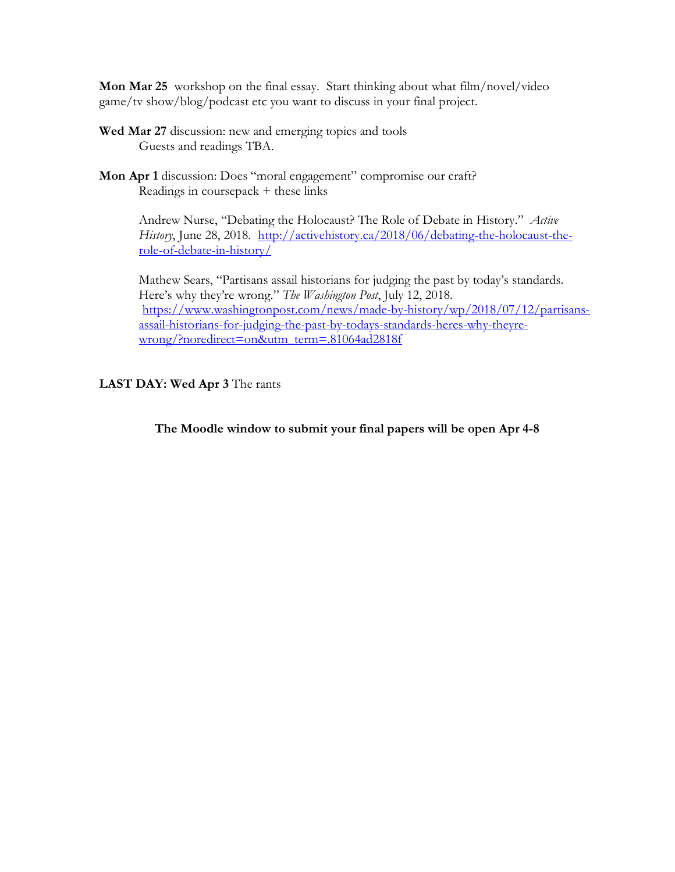**Mon Mar 25** workshop on the final essay. Start thinking about what film/novel/video game/tv show/blog/podcast etc you want to discuss in your final project.

- **Wed Mar 27** discussion: new and emerging topics and tools Guests and readings TBA.
- **Mon Apr 1** discussion: Does "moral engagement" compromise our craft? Readings in coursepack + these links

Andrew Nurse, "Debating the Holocaust? The Role of Debate in History." *Active History*, June 28, 2018. http://activehistory.ca/2018/06/debating-the-holocaust-therole-of-debate-in-history/

Mathew Sears, "Partisans assail historians for judging the past by today's standards. Here's why they're wrong." *The Washington Post*, July 12, 2018. https://www.washingtonpost.com/news/made-by-history/wp/2018/07/12/partisansassail-historians-for-judging-the-past-by-todays-standards-heres-why-theyrewrong/?noredirect=on&utm\_term=.81064ad2818f

# **LAST DAY: Wed Apr 3** The rants

**The Moodle window to submit your final papers will be open Apr 4-8**